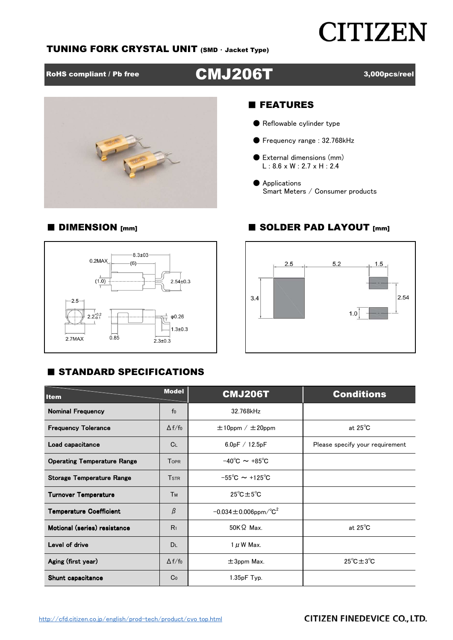## **CITIZEN**

#### TUNING FORK CRYSTAL UNIT (SMD ・ Jacket Type)

### RoHS compliant / Pb free **CMJ206T** 3,000pcs/reel



#### ■ FEATURES

- Reflowable cylinder type
- Frequency range: 32.768kHz
- External dimensions (mm) L : 8.6 x W : 2.7 x H : 2.4
- Applications Smart Meters / Consumer products

#### $-8.3 \pm 03$  $0.2$ MAX  $(6)$  $(1.0)$  $2.54 \pm 0.3$  $-2.5$  $2.2^{+0.2}_{-0.1}$  $\phi$ 0.26  $1.3 \pm 0.3$  $0.85$ 2.7MAX  $2.3 + 0.3$

#### **E STANDARD SPECIFICATIONS**



| <b>Item</b>                        | <b>Model</b>            | <b>CMJ206T</b>                         | <b>Conditions</b>                |  |  |  |
|------------------------------------|-------------------------|----------------------------------------|----------------------------------|--|--|--|
| <b>Nominal Frequency</b>           | $f_0$                   | 32.768kHz                              |                                  |  |  |  |
| <b>Frequency Tolerance</b>         | $\Delta f/f_0$          | $\pm 10$ ppm / $\pm 20$ ppm            | at $25^{\circ}$ C                |  |  |  |
| Load capacitance                   | $C_{L}$                 | 6.0pF / 12.5pF                         | Please specify your requirement  |  |  |  |
| <b>Operating Temperature Range</b> | <b>TOPR</b>             | $-40^{\circ}$ C $\sim +85^{\circ}$ C   |                                  |  |  |  |
| <b>Storage Temperature Range</b>   | <b>T</b> <sub>STR</sub> | $-55^{\circ}$ C ~ +125°C               |                                  |  |  |  |
| <b>Turnover Temperature</b>        | Тм                      | $25^{\circ}$ C $\pm 5^{\circ}$ C       |                                  |  |  |  |
| <b>Temperature Coefficient</b>     | β                       | $-0.034 \pm 0.006$ ppm/°C <sup>2</sup> |                                  |  |  |  |
| Motional (series) resistance       | R <sub>1</sub>          | $50K\Omega$ Max.                       | at $25^{\circ}$ C                |  |  |  |
| Level of drive                     | <b>DL</b>               | $1 \mu$ W Max.                         |                                  |  |  |  |
| Aging (first year)                 | $\Delta f/f_0$          | $\pm 3$ ppm Max.                       | $25^{\circ}$ C $\pm 3^{\circ}$ C |  |  |  |
| Shunt capacitance                  | Co                      | $1.35pF$ Typ.                          |                                  |  |  |  |

### ■ DIMENSION [mm] ■ SOLDER PAD LAYOUT [mm]